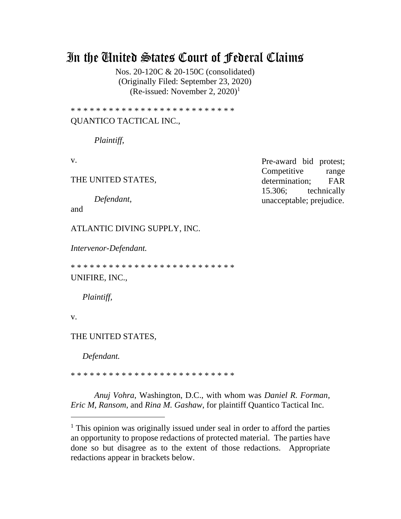# In the United States Court of Federal Claims

Nos. 20-120C & 20-150C (consolidated) (Originally Filed: September 23, 2020) (Re-issued: November 2, 2020)<sup>1</sup>

\* \* \* \* \* \* \* \* \* \* \* \* \* \* \* \* \* \* \* \* \* \* \* \* \* \*

# QUANTICO TACTICAL INC.,

*Plaintiff*,

v.

THE UNITED STATES,

*Defendant*,

and

ATLANTIC DIVING SUPPLY, INC.

*Intervenor-Defendant.*

\* \* \* \* \* \* \* \* \* \* \* \* \* \* \* \* \* \* \* \* \* \* \* \* \* \* UNIFIRE, INC.,

*Plaintiff,*

v.

THE UNITED STATES,

*Defendant.*

\* \* \* \* \* \* \* \* \* \* \* \* \* \* \* \* \* \* \* \* \* \* \* \* \* \*

*Anuj Vohra*, Washington, D.C., with whom was *Daniel R. Forman*, *Eric M, Ransom*, and *Rina M. Gashaw*, for plaintiff Quantico Tactical Inc.

Pre-award bid protest; Competitive range determination; FAR 15.306; technically unacceptable; prejudice.

<sup>&</sup>lt;sup>1</sup> This opinion was originally issued under seal in order to afford the parties an opportunity to propose redactions of protected material. The parties have done so but disagree as to the extent of those redactions. Appropriate redactions appear in brackets below.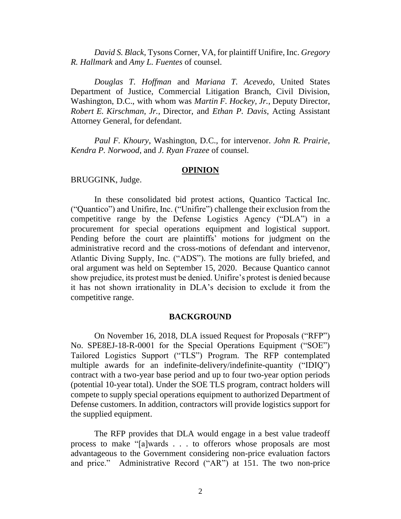*David S. Black*, Tysons Corner, VA, for plaintiff Unifire, Inc. *Gregory R. Hallmark* and *Amy L. Fuentes* of counsel.

*Douglas T. Hoffman* and *Mariana T. Acevedo*, United States Department of Justice, Commercial Litigation Branch, Civil Division, Washington, D.C., with whom was *Martin F. Hockey, Jr.*, Deputy Director, *Robert E. Kirschman, Jr.*, Director, and *Ethan P. Davis*, Acting Assistant Attorney General, for defendant.

*Paul F. Khoury*, Washington, D.C., for intervenor. *John R. Prairie*, *Kendra P. Norwood*, and *J. Ryan Frazee* of counsel.

## **OPINION**

BRUGGINK, Judge.

In these consolidated bid protest actions, Quantico Tactical Inc. ("Quantico") and Unifire, Inc. ("Unifire") challenge their exclusion from the competitive range by the Defense Logistics Agency ("DLA") in a procurement for special operations equipment and logistical support. Pending before the court are plaintiffs' motions for judgment on the administrative record and the cross-motions of defendant and intervenor, Atlantic Diving Supply, Inc. ("ADS"). The motions are fully briefed, and oral argument was held on September 15, 2020. Because Quantico cannot show prejudice, its protest must be denied. Unifire's protest is denied because it has not shown irrationality in DLA's decision to exclude it from the competitive range.

## **BACKGROUND**

On November 16, 2018, DLA issued Request for Proposals ("RFP") No. SPE8EJ-18-R-0001 for the Special Operations Equipment ("SOE") Tailored Logistics Support ("TLS") Program. The RFP contemplated multiple awards for an indefinite-delivery/indefinite-quantity ("IDIQ") contract with a two-year base period and up to four two-year option periods (potential 10-year total). Under the SOE TLS program, contract holders will compete to supply special operations equipment to authorized Department of Defense customers. In addition, contractors will provide logistics support for the supplied equipment.

The RFP provides that DLA would engage in a best value tradeoff process to make "[a]wards . . . to offerors whose proposals are most advantageous to the Government considering non-price evaluation factors and price." Administrative Record ("AR") at 151. The two non-price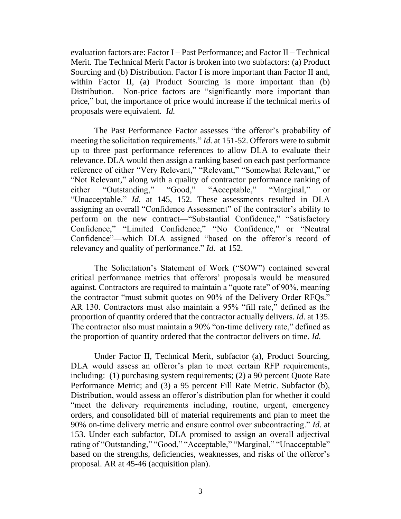evaluation factors are: Factor I – Past Performance; and Factor II – Technical Merit. The Technical Merit Factor is broken into two subfactors: (a) Product Sourcing and (b) Distribution. Factor I is more important than Factor II and, within Factor II, (a) Product Sourcing is more important than (b) Distribution. Non-price factors are "significantly more important than price," but, the importance of price would increase if the technical merits of proposals were equivalent. *Id.*

The Past Performance Factor assesses "the offeror's probability of meeting the solicitation requirements." *Id.* at 151-52. Offerors were to submit up to three past performance references to allow DLA to evaluate their relevance. DLA would then assign a ranking based on each past performance reference of either "Very Relevant," "Relevant," "Somewhat Relevant," or "Not Relevant," along with a quality of contractor performance ranking of either "Outstanding," "Good," "Acceptable," "Marginal," or "Unacceptable." *Id.* at 145, 152. These assessments resulted in DLA assigning an overall "Confidence Assessment" of the contractor's ability to perform on the new contract—"Substantial Confidence," "Satisfactory Confidence," "Limited Confidence," "No Confidence," or "Neutral Confidence"—which DLA assigned "based on the offeror's record of relevancy and quality of performance." *Id.* at 152.

The Solicitation's Statement of Work ("SOW") contained several critical performance metrics that offerors' proposals would be measured against. Contractors are required to maintain a "quote rate" of 90%, meaning the contractor "must submit quotes on 90% of the Delivery Order RFQs." AR 130. Contractors must also maintain a 95% "fill rate," defined as the proportion of quantity ordered that the contractor actually delivers. *Id.* at 135. The contractor also must maintain a 90% "on-time delivery rate," defined as the proportion of quantity ordered that the contractor delivers on time. *Id.* 

Under Factor II, Technical Merit, subfactor (a), Product Sourcing, DLA would assess an offeror's plan to meet certain RFP requirements, including: (1) purchasing system requirements; (2) a 90 percent Quote Rate Performance Metric; and (3) a 95 percent Fill Rate Metric. Subfactor (b), Distribution, would assess an offeror's distribution plan for whether it could "meet the delivery requirements including, routine, urgent, emergency orders, and consolidated bill of material requirements and plan to meet the 90% on-time delivery metric and ensure control over subcontracting." *Id.* at 153. Under each subfactor, DLA promised to assign an overall adjectival rating of "Outstanding," "Good," "Acceptable," "Marginal," "Unacceptable" based on the strengths, deficiencies, weaknesses, and risks of the offeror's proposal. AR at 45-46 (acquisition plan).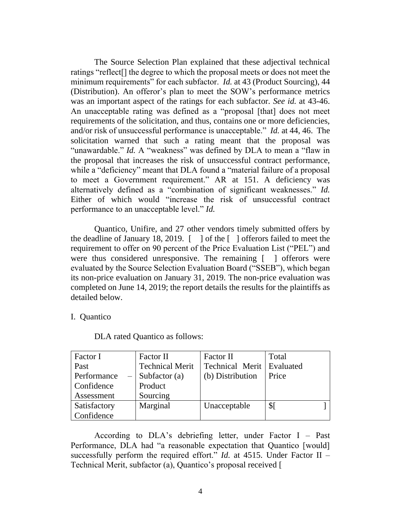The Source Selection Plan explained that these adjectival technical ratings "reflect[] the degree to which the proposal meets or does not meet the minimum requirements" for each subfactor. *Id.* at 43 (Product Sourcing), 44 (Distribution). An offeror's plan to meet the SOW's performance metrics was an important aspect of the ratings for each subfactor. *See id.* at 43-46. An unacceptable rating was defined as a "proposal [that] does not meet requirements of the solicitation, and thus, contains one or more deficiencies, and/or risk of unsuccessful performance is unacceptable." *Id.* at 44, 46. The solicitation warned that such a rating meant that the proposal was "unawardable." *Id.* A "weakness" was defined by DLA to mean a "flaw in the proposal that increases the risk of unsuccessful contract performance, while a "deficiency" meant that DLA found a "material failure of a proposal to meet a Government requirement." AR at 151. A deficiency was alternatively defined as a "combination of significant weaknesses." *Id.* Either of which would "increase the risk of unsuccessful contract performance to an unacceptable level." *Id.*

Quantico, Unifire, and 27 other vendors timely submitted offers by the deadline of January 18, 2019. [ ] of the [ ] offerors failed to meet the requirement to offer on 90 percent of the Price Evaluation List ("PEL") and were thus considered unresponsive. The remaining [ ] offerors were evaluated by the Source Selection Evaluation Board ("SSEB"), which began its non-price evaluation on January 31, 2019. The non-price evaluation was completed on June 14, 2019; the report details the results for the plaintiffs as detailed below.

I. Quantico

| Factor I     | Factor II              | Factor II                 | Total           |  |
|--------------|------------------------|---------------------------|-----------------|--|
| Past         | <b>Technical Merit</b> | Technical Merit Evaluated |                 |  |
| Performance  | Subfactor $(a)$        | (b) Distribution          | Price           |  |
| Confidence   | Product                |                           |                 |  |
| Assessment   | Sourcing               |                           |                 |  |
| Satisfactory | Marginal               | Unacceptable              | $\mathcal{S}$ [ |  |
| Confidence   |                        |                           |                 |  |

DLA rated Quantico as follows:

According to DLA's debriefing letter, under Factor I – Past Performance, DLA had "a reasonable expectation that Quantico [would] successfully perform the required effort." *Id.* at 4515. Under Factor II – Technical Merit, subfactor (a), Quantico's proposal received [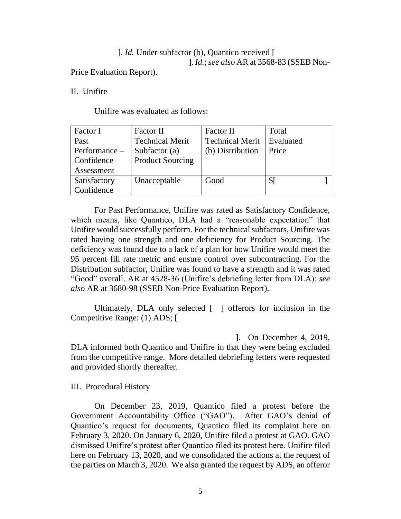]. *Id.* Under subfactor (b), Quantico received [ ]. *Id.*;*see also* AR at 3568-83 (SSEB Non-

Price Evaluation Report).

II. Unifire

Unifire was evaluated as follows:

| Factor I      | Factor II               | Factor II              | Total     |  |
|---------------|-------------------------|------------------------|-----------|--|
| Past          | <b>Technical Merit</b>  | <b>Technical Merit</b> | Evaluated |  |
| Performance - | Subfactor $(a)$         | (b) Distribution       | Price     |  |
| Confidence    | <b>Product Sourcing</b> |                        |           |  |
| Assessment    |                         |                        |           |  |
| Satisfactory  | Unacceptable            | Good                   | \$I       |  |
| Confidence    |                         |                        |           |  |

For Past Performance, Unifire was rated as Satisfactory Confidence, which means, like Quantico, DLA had a "reasonable expectation" that Unifire would successfully perform. For the technical subfactors, Unifire was rated having one strength and one deficiency for Product Sourcing. The deficiency was found due to a lack of a plan for how Unifire would meet the 95 percent fill rate metric and ensure control over subcontracting. For the Distribution subfactor, Unifire was found to have a strength and it was rated "Good" overall. AR at 4528-36 (Unifire's debriefing letter from DLA); *see also* AR at 3680-98 (SSEB Non-Price Evaluation Report).

Ultimately, DLA only selected [ ] offerors for inclusion in the Competitive Range: (1) ADS; [

]. On December 4, 2019, DLA informed both Quantico and Unifire in that they were being excluded from the competitive range. More detailed debriefing letters were requested and provided shortly thereafter.

III. Procedural History

On December 23, 2019, Quantico filed a protest before the Government Accountability Office ("GAO"). After GAO's denial of Quantico's request for documents, Quantico filed its complaint here on February 3, 2020. On January 6, 2020, Unifire filed a protest at GAO. GAO dismissed Unifire's protest after Quantico filed its protest here. Unifire filed here on February 13, 2020, and we consolidated the actions at the request of the parties on March 3, 2020. We also granted the request by ADS, an offeror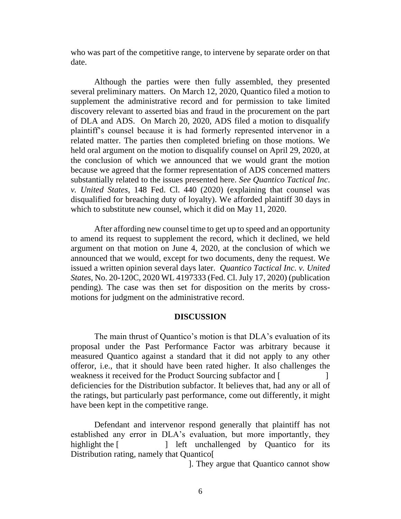who was part of the competitive range, to intervene by separate order on that date.

Although the parties were then fully assembled, they presented several preliminary matters. On March 12, 2020, Quantico filed a motion to supplement the administrative record and for permission to take limited discovery relevant to asserted bias and fraud in the procurement on the part of DLA and ADS. On March 20, 2020, ADS filed a motion to disqualify plaintiff's counsel because it is had formerly represented intervenor in a related matter. The parties then completed briefing on those motions. We held oral argument on the motion to disqualify counsel on April 29, 2020, at the conclusion of which we announced that we would grant the motion because we agreed that the former representation of ADS concerned matters substantially related to the issues presented here. *See Quantico Tactical Inc*. *v. United States*, 148 Fed. Cl. 440 (2020) (explaining that counsel was disqualified for breaching duty of loyalty). We afforded plaintiff 30 days in which to substitute new counsel, which it did on May 11, 2020.

After affording new counsel time to get up to speed and an opportunity to amend its request to supplement the record, which it declined, we held argument on that motion on June 4, 2020, at the conclusion of which we announced that we would, except for two documents, deny the request. We issued a written opinion several days later. *Quantico Tactical Inc. v. United States*, No. 20-120C, 2020 WL 4197333 (Fed. Cl. July 17, 2020) (publication pending). The case was then set for disposition on the merits by crossmotions for judgment on the administrative record.

#### **DISCUSSION**

The main thrust of Quantico's motion is that DLA's evaluation of its proposal under the Past Performance Factor was arbitrary because it measured Quantico against a standard that it did not apply to any other offeror, i.e., that it should have been rated higher. It also challenges the weakness it received for the Product Sourcing subfactor and [ deficiencies for the Distribution subfactor. It believes that, had any or all of the ratings, but particularly past performance, come out differently, it might have been kept in the competitive range.

Defendant and intervenor respond generally that plaintiff has not established any error in DLA's evaluation, but more importantly, they highlight the [ ] left unchallenged by Quantico for its Distribution rating, namely that Quantico[

]. They argue that Quantico cannot show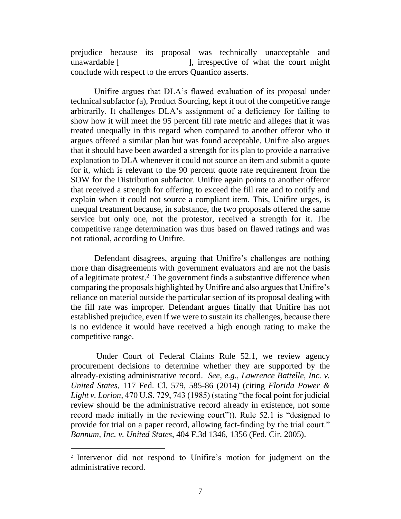prejudice because its proposal was technically unacceptable and unawardable [ ], irrespective of what the court might conclude with respect to the errors Quantico asserts.

Unifire argues that DLA's flawed evaluation of its proposal under technical subfactor (a), Product Sourcing, kept it out of the competitive range arbitrarily. It challenges DLA's assignment of a deficiency for failing to show how it will meet the 95 percent fill rate metric and alleges that it was treated unequally in this regard when compared to another offeror who it argues offered a similar plan but was found acceptable. Unifire also argues that it should have been awarded a strength for its plan to provide a narrative explanation to DLA whenever it could not source an item and submit a quote for it, which is relevant to the 90 percent quote rate requirement from the SOW for the Distribution subfactor. Unifire again points to another offeror that received a strength for offering to exceed the fill rate and to notify and explain when it could not source a compliant item. This, Unifire urges, is unequal treatment because, in substance, the two proposals offered the same service but only one, not the protestor, received a strength for it. The competitive range determination was thus based on flawed ratings and was not rational, according to Unifire.

Defendant disagrees, arguing that Unifire's challenges are nothing more than disagreements with government evaluators and are not the basis of a legitimate protest.<sup>2</sup> The government finds a substantive difference when comparing the proposals highlighted by Unifire and also argues that Unifire's reliance on material outside the particular section of its proposal dealing with the fill rate was improper. Defendant argues finally that Unifire has not established prejudice, even if we were to sustain its challenges, because there is no evidence it would have received a high enough rating to make the competitive range.

Under Court of Federal Claims Rule 52.1, we review agency procurement decisions to determine whether they are supported by the already-existing administrative record. *See, e.g., Lawrence Battelle, Inc. v. United States*, 117 Fed. Cl. 579, 585-86 (2014) (citing *Florida Power & Light v. Lorion,* 470 U.S. 729, 743 (1985) (stating "the focal point for judicial review should be the administrative record already in existence, not some record made initially in the reviewing court")). Rule 52.1 is "designed to provide for trial on a paper record, allowing fact-finding by the trial court." *Bannum, Inc. v. United States*, 404 F.3d 1346, 1356 (Fed. Cir. 2005).

<sup>2</sup> Intervenor did not respond to Unifire's motion for judgment on the administrative record.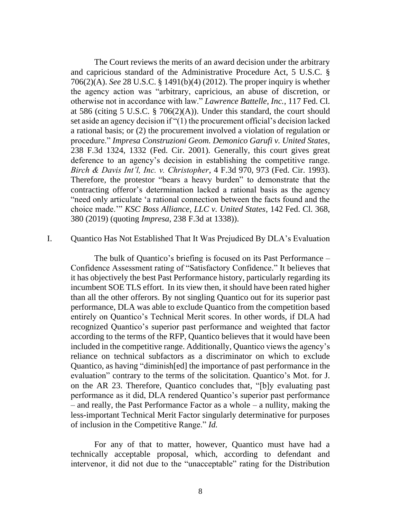The Court reviews the merits of an award decision under the arbitrary and capricious standard of the Administrative Procedure Act, 5 U.S.C. § 706(2)(A). *See* 28 U.S.C. § 1491(b)(4) (2012). The proper inquiry is whether the agency action was "arbitrary, capricious, an abuse of discretion, or otherwise not in accordance with law." *Lawrence Battelle, Inc.*, 117 Fed. Cl. at 586 (citing 5 U.S.C. § 706(2)(A)). Under this standard, the court should set aside an agency decision if "(1) the procurement official's decision lacked a rational basis; or (2) the procurement involved a violation of regulation or procedure." *Impresa Construzioni Geom. Demonico Garufi v. United States*, 238 F.3d 1324, 1332 (Fed. Cir. 2001). Generally, this court gives great deference to an agency's decision in establishing the competitive range. *Birch & Davis Int'l, Inc. v. Christopher*, 4 F.3d 970, 973 (Fed. Cir. 1993). Therefore, the protestor "bears a heavy burden" to demonstrate that the contracting offeror's determination lacked a rational basis as the agency "need only articulate 'a rational connection between the facts found and the choice made.'" *KSC Boss Alliance, LLC v. United States*, 142 Fed. Cl. 368, 380 (2019) (quoting *Impresa*, 238 F.3d at 1338)).

# I. Quantico Has Not Established That It Was Prejudiced By DLA's Evaluation

The bulk of Quantico's briefing is focused on its Past Performance – Confidence Assessment rating of "Satisfactory Confidence." It believes that it has objectively the best Past Performance history, particularly regarding its incumbent SOE TLS effort. In its view then, it should have been rated higher than all the other offerors. By not singling Quantico out for its superior past performance, DLA was able to exclude Quantico from the competition based entirely on Quantico's Technical Merit scores. In other words, if DLA had recognized Quantico's superior past performance and weighted that factor according to the terms of the RFP, Quantico believes that it would have been included in the competitive range. Additionally, Quantico views the agency's reliance on technical subfactors as a discriminator on which to exclude Quantico, as having "diminish[ed] the importance of past performance in the evaluation" contrary to the terms of the solicitation. Quantico's Mot. for J. on the AR 23. Therefore, Quantico concludes that, "[b]y evaluating past performance as it did, DLA rendered Quantico's superior past performance – and really, the Past Performance Factor as a whole – a nullity, making the less-important Technical Merit Factor singularly determinative for purposes of inclusion in the Competitive Range." *Id.* 

For any of that to matter, however, Quantico must have had a technically acceptable proposal, which, according to defendant and intervenor, it did not due to the "unacceptable" rating for the Distribution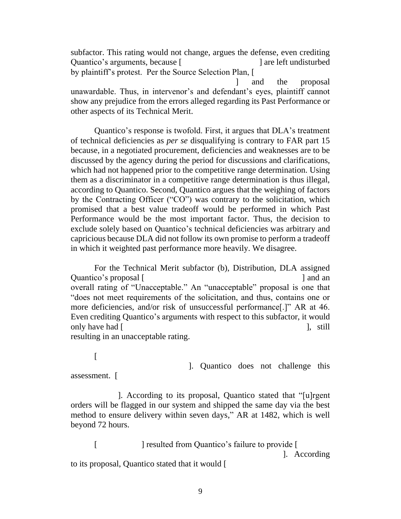subfactor. This rating would not change, argues the defense, even crediting Quantico's arguments, because [  $\qquad$  ] are left undisturbed by plaintiff's protest. Per the Source Selection Plan, [ ] and the proposal unawardable. Thus, in intervenor's and defendant's eyes, plaintiff cannot show any prejudice from the errors alleged regarding its Past Performance or

other aspects of its Technical Merit.

Quantico's response is twofold. First, it argues that DLA's treatment of technical deficiencies as *per se* disqualifying is contrary to FAR part 15 because, in a negotiated procurement, deficiencies and weaknesses are to be discussed by the agency during the period for discussions and clarifications, which had not happened prior to the competitive range determination. Using them as a discriminator in a competitive range determination is thus illegal, according to Quantico. Second, Quantico argues that the weighing of factors by the Contracting Officer ("CO") was contrary to the solicitation, which promised that a best value tradeoff would be performed in which Past Performance would be the most important factor. Thus, the decision to exclude solely based on Quantico's technical deficiencies was arbitrary and capricious because DLA did not follow its own promise to perform a tradeoff in which it weighted past performance more heavily. We disagree.

For the Technical Merit subfactor (b), Distribution, DLA assigned Quantico's proposal [  $\qquad \qquad$  ] and an overall rating of "Unacceptable." An "unacceptable" proposal is one that "does not meet requirements of the solicitation, and thus, contains one or more deficiencies, and/or risk of unsuccessful performance[.]" AR at 46. Even crediting Quantico's arguments with respect to this subfactor, it would only have had [ ], still and  $\left[ \right]$  [, still and  $\left[ \right]$ ], still and  $\left[ \right]$ 

resulting in an unacceptable rating.

 $\lceil$ 

]. Quantico does not challenge this assessment. [

]. According to its proposal, Quantico stated that "[u]rgent orders will be flagged in our system and shipped the same day via the best method to ensure delivery within seven days," AR at 1482, which is well beyond 72 hours.

[ ] resulted from Quantico's failure to provide [ ]. According to its proposal, Quantico stated that it would [

9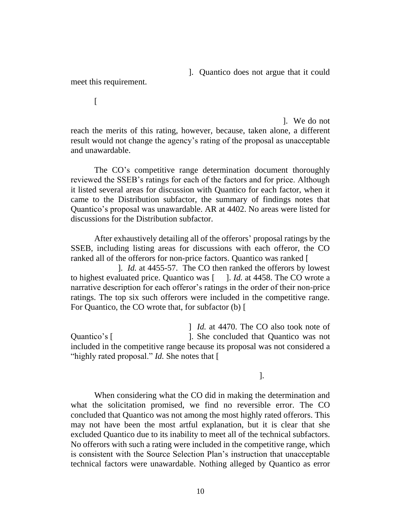]. Quantico does not argue that it could

meet this requirement.

 $\sqrt{ }$ 

]. We do not reach the merits of this rating, however, because, taken alone, a different result would not change the agency's rating of the proposal as unacceptable and unawardable.

The CO's competitive range determination document thoroughly reviewed the SSEB's ratings for each of the factors and for price. Although it listed several areas for discussion with Quantico for each factor, when it came to the Distribution subfactor, the summary of findings notes that Quantico's proposal was unawardable. AR at 4402. No areas were listed for discussions for the Distribution subfactor.

After exhaustively detailing all of the offerors' proposal ratings by the SSEB, including listing areas for discussions with each offeror, the CO ranked all of the offerors for non-price factors. Quantico was ranked [

]. *Id.* at 4455-57. The CO then ranked the offerors by lowest to highest evaluated price. Quantico was [ ]. *Id.* at 4458. The CO wrote a narrative description for each offeror's ratings in the order of their non-price ratings. The top six such offerors were included in the competitive range. For Quantico, the CO wrote that, for subfactor (b) [

] *Id.* at 4470. The CO also took note of Quantico's [ ]. She concluded that Quantico was not included in the competitive range because its proposal was not considered a "highly rated proposal." *Id.* She notes that [

].

When considering what the CO did in making the determination and what the solicitation promised, we find no reversible error. The CO concluded that Quantico was not among the most highly rated offerors. This may not have been the most artful explanation, but it is clear that she excluded Quantico due to its inability to meet all of the technical subfactors. No offerors with such a rating were included in the competitive range, which is consistent with the Source Selection Plan's instruction that unacceptable technical factors were unawardable. Nothing alleged by Quantico as error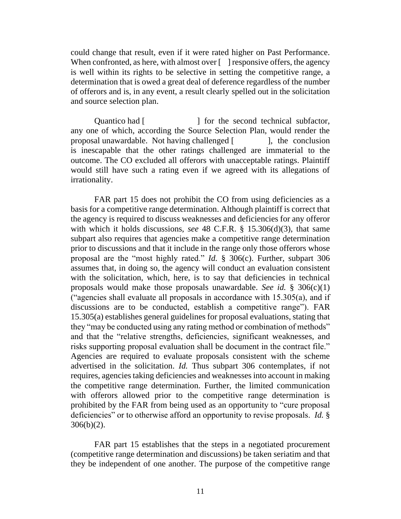could change that result, even if it were rated higher on Past Performance. When confronted, as here, with almost over  $\lceil \cdot \rceil$  responsive offers, the agency is well within its rights to be selective in setting the competitive range, a determination that is owed a great deal of deference regardless of the number of offerors and is, in any event, a result clearly spelled out in the solicitation and source selection plan.

Quantico had [ ] for the second technical subfactor, any one of which, according the Source Selection Plan, would render the proposal unawardable. Not having challenged [ ], the conclusion is inescapable that the other ratings challenged are immaterial to the outcome. The CO excluded all offerors with unacceptable ratings. Plaintiff would still have such a rating even if we agreed with its allegations of irrationality.

FAR part 15 does not prohibit the CO from using deficiencies as a basis for a competitive range determination. Although plaintiff is correct that the agency is required to discuss weaknesses and deficiencies for any offeror with which it holds discussions, *see* 48 C.F.R. § 15.306(d)(3), that same subpart also requires that agencies make a competitive range determination prior to discussions and that it include in the range only those offerors whose proposal are the "most highly rated." *Id.* § 306(c). Further, subpart 306 assumes that, in doing so, the agency will conduct an evaluation consistent with the solicitation, which, here, is to say that deficiencies in technical proposals would make those proposals unawardable. *See id.* § 306(c)(1) ("agencies shall evaluate all proposals in accordance with  $15.305(a)$ , and if discussions are to be conducted, establish a competitive range"). FAR 15.305(a) establishes general guidelines for proposal evaluations, stating that they "may be conducted using any rating method or combination of methods" and that the "relative strengths, deficiencies, significant weaknesses, and risks supporting proposal evaluation shall be document in the contract file." Agencies are required to evaluate proposals consistent with the scheme advertised in the solicitation. *Id.* Thus subpart 306 contemplates, if not requires, agencies taking deficiencies and weaknesses into account in making the competitive range determination. Further, the limited communication with offerors allowed prior to the competitive range determination is prohibited by the FAR from being used as an opportunity to "cure proposal deficiencies" or to otherwise afford an opportunity to revise proposals. *Id.* §  $306(b)(2)$ .

FAR part 15 establishes that the steps in a negotiated procurement (competitive range determination and discussions) be taken seriatim and that they be independent of one another. The purpose of the competitive range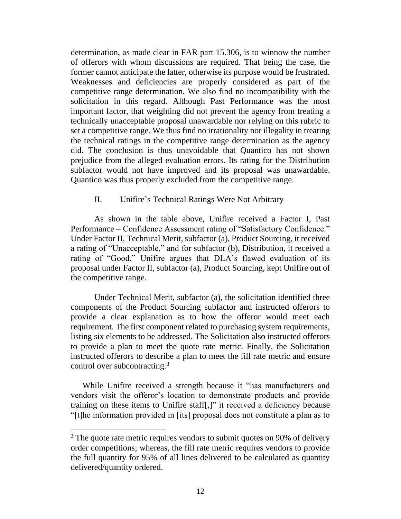determination, as made clear in FAR part 15.306, is to winnow the number of offerors with whom discussions are required. That being the case, the former cannot anticipate the latter, otherwise its purpose would be frustrated. Weaknesses and deficiencies are properly considered as part of the competitive range determination. We also find no incompatibility with the solicitation in this regard. Although Past Performance was the most important factor, that weighting did not prevent the agency from treating a technically unacceptable proposal unawardable nor relying on this rubric to set a competitive range. We thus find no irrationality nor illegality in treating the technical ratings in the competitive range determination as the agency did. The conclusion is thus unavoidable that Quantico has not shown prejudice from the alleged evaluation errors. Its rating for the Distribution subfactor would not have improved and its proposal was unawardable. Quantico was thus properly excluded from the competitive range.

## II. Unifire's Technical Ratings Were Not Arbitrary

As shown in the table above, Unifire received a Factor I, Past Performance – Confidence Assessment rating of "Satisfactory Confidence." Under Factor II, Technical Merit, subfactor (a), Product Sourcing, it received a rating of "Unacceptable," and for subfactor (b), Distribution, it received a rating of "Good." Unifire argues that DLA's flawed evaluation of its proposal under Factor II, subfactor (a), Product Sourcing, kept Unifire out of the competitive range.

Under Technical Merit, subfactor (a), the solicitation identified three components of the Product Sourcing subfactor and instructed offerors to provide a clear explanation as to how the offeror would meet each requirement. The first component related to purchasing system requirements, listing six elements to be addressed. The Solicitation also instructed offerors to provide a plan to meet the quote rate metric. Finally, the Solicitation instructed offerors to describe a plan to meet the fill rate metric and ensure control over subcontracting.<sup>3</sup>

While Unifire received a strength because it "has manufacturers and vendors visit the offeror's location to demonstrate products and provide training on these items to Unifire staff[,]" it received a deficiency because "[t]he information provided in [its] proposal does not constitute a plan as to

 $3$  The quote rate metric requires vendors to submit quotes on 90% of delivery order competitions; whereas, the fill rate metric requires vendors to provide the full quantity for 95% of all lines delivered to be calculated as quantity delivered/quantity ordered.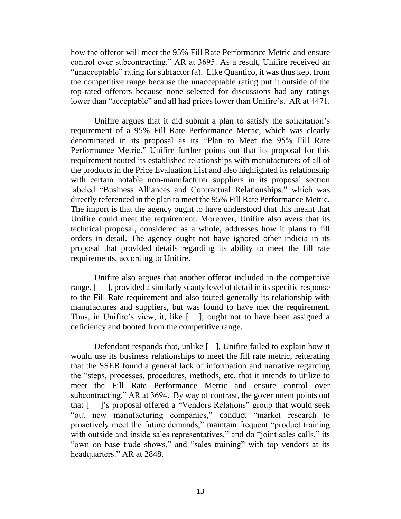how the offeror will meet the 95% Fill Rate Performance Metric and ensure control over subcontracting." AR at 3695. As a result, Unifire received an "unacceptable" rating for subfactor (a). Like Quantico, it was thus kept from the competitive range because the unacceptable rating put it outside of the top-rated offerors because none selected for discussions had any ratings lower than "acceptable" and all had prices lower than Unifire's. AR at 4471.

Unifire argues that it did submit a plan to satisfy the solicitation's requirement of a 95% Fill Rate Performance Metric, which was clearly denominated in its proposal as its "Plan to Meet the 95% Fill Rate Performance Metric." Unifire further points out that its proposal for this requirement touted its established relationships with manufacturers of all of the products in the Price Evaluation List and also highlighted its relationship with certain notable non-manufacturer suppliers in its proposal section labeled "Business Alliances and Contractual Relationships," which was directly referenced in the plan to meet the 95% Fill Rate Performance Metric. The import is that the agency ought to have understood that this meant that Unifire could meet the requirement. Moreover, Unifire also avers that its technical proposal, considered as a whole, addresses how it plans to fill orders in detail. The agency ought not have ignored other indicia in its proposal that provided details regarding its ability to meet the fill rate requirements, according to Unifire.

Unifire also argues that another offeror included in the competitive range, [ ], provided a similarly scanty level of detail in its specific response to the Fill Rate requirement and also touted generally its relationship with manufactures and suppliers, but was found to have met the requirement. Thus, in Unifire's view, it, like [ ], ought not to have been assigned a deficiency and booted from the competitive range.

Defendant responds that, unlike [ ], Unifire failed to explain how it would use its business relationships to meet the fill rate metric, reiterating that the SSEB found a general lack of information and narrative regarding the "steps, processes, procedures, methods, etc. that it intends to utilize to meet the Fill Rate Performance Metric and ensure control over subcontracting." AR at 3694. By way of contrast, the government points out that [ ]'s proposal offered a "Vendors Relations" group that would seek "out new manufacturing companies," conduct "market research to proactively meet the future demands," maintain frequent "product training with outside and inside sales representatives," and do "joint sales calls," its "own on base trade shows," and "sales training" with top vendors at its headquarters." AR at 2848.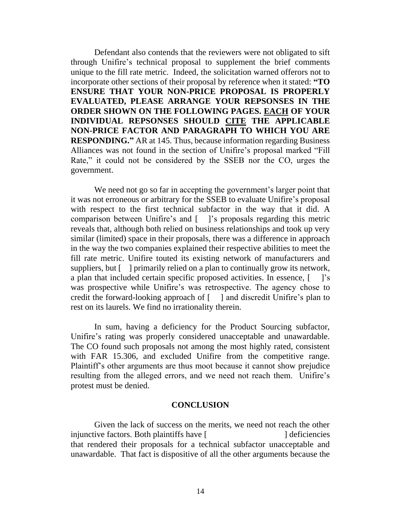Defendant also contends that the reviewers were not obligated to sift through Unifire's technical proposal to supplement the brief comments unique to the fill rate metric. Indeed, the solicitation warned offerors not to incorporate other sections of their proposal by reference when it stated: **"TO ENSURE THAT YOUR NON-PRICE PROPOSAL IS PROPERLY EVALUATED, PLEASE ARRANGE YOUR REPSONSES IN THE ORDER SHOWN ON THE FOLLOWING PAGES. EACH OF YOUR INDIVIDUAL REPSONSES SHOULD CITE THE APPLICABLE NON-PRICE FACTOR AND PARAGRAPH TO WHICH YOU ARE RESPONDING."** AR at 145. Thus, because information regarding Business Alliances was not found in the section of Unifire's proposal marked "Fill Rate," it could not be considered by the SSEB nor the CO, urges the government.

We need not go so far in accepting the government's larger point that it was not erroneous or arbitrary for the SSEB to evaluate Unifire's proposal with respect to the first technical subfactor in the way that it did. A comparison between Unifire's and [ ]'s proposals regarding this metric reveals that, although both relied on business relationships and took up very similar (limited) space in their proposals, there was a difference in approach in the way the two companies explained their respective abilities to meet the fill rate metric. Unifire touted its existing network of manufacturers and suppliers, but [ ] primarily relied on a plan to continually grow its network, a plan that included certain specific proposed activities. In essence, [ ]'s was prospective while Unifire's was retrospective. The agency chose to credit the forward-looking approach of  $\lceil \cdot \rceil$  and discredit Unifire's plan to rest on its laurels. We find no irrationality therein.

In sum, having a deficiency for the Product Sourcing subfactor, Unifire's rating was properly considered unacceptable and unawardable. The CO found such proposals not among the most highly rated, consistent with FAR 15.306, and excluded Unifire from the competitive range. Plaintiff's other arguments are thus moot because it cannot show prejudice resulting from the alleged errors, and we need not reach them. Unifire's protest must be denied.

### **CONCLUSION**

Given the lack of success on the merits, we need not reach the other injunctive factors. Both plaintiffs have [ ] deficiencies that rendered their proposals for a technical subfactor unacceptable and unawardable. That fact is dispositive of all the other arguments because the